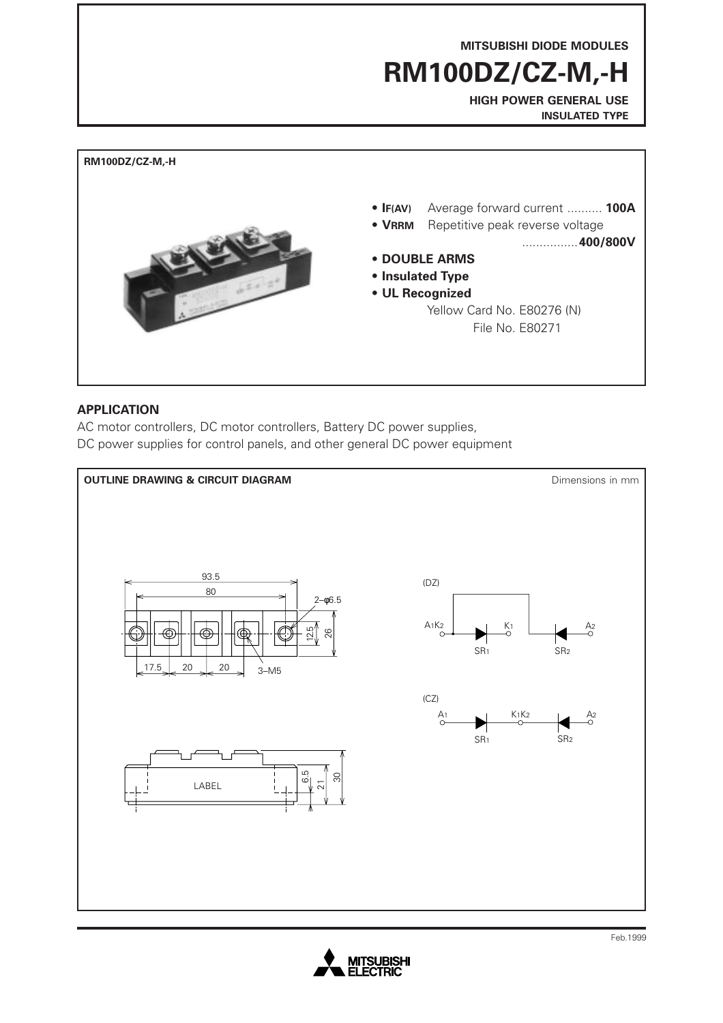**MITSUBISHI DIODE MODULES**

**RM100DZ/CZ-M,-H**

**HIGH POWER GENERAL USE INSULATED TYPE**



## **APPLICATION**

AC motor controllers, DC motor controllers, Battery DC power supplies, DC power supplies for control panels, and other general DC power equipment



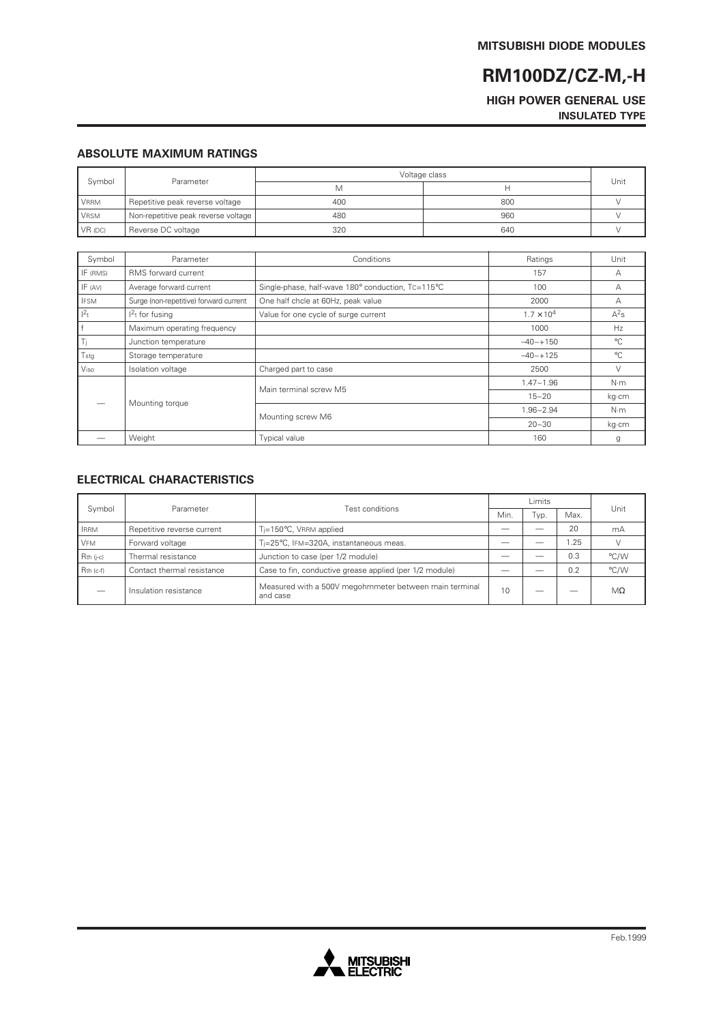# **RM100DZ/CZ-M,-H**

#### **HIGH POWER GENERAL USE INSULATED TYPE**

#### **ABSOLUTE MAXIMUM RATINGS**

| Symbol      | Parameter                           | Voltage class |     | Unit |
|-------------|-------------------------------------|---------------|-----|------|
|             |                                     | M             |     |      |
| VRRM        | Repetitive peak reverse voltage     | 400           | 800 |      |
| <b>VRSM</b> | Non-repetitive peak reverse voltage | 480           | 960 |      |
| $VR$ (DC)   | Reverse DC voltage                  | 320           | 640 |      |

| Symbol      | Parameter                              | Conditions                                        | Ratings             | Unit           |
|-------------|----------------------------------------|---------------------------------------------------|---------------------|----------------|
| IF (RMS)    | RMS forward current                    |                                                   | 157                 | А              |
| IF (AV)     | Average forward current                | Single-phase, half-wave 180° conduction, Tc=115°C | 100                 | А              |
| <b>IFSM</b> | Surge (non-repetitive) forward current | One half chcle at 60Hz, peak value                | 2000                | А              |
| $1^2$ t     | $12t$ for fusing                       | Value for one cycle of surge current              | $1.7 \times 10^{4}$ | $A^2s$         |
| r fi        | Maximum operating frequency            |                                                   | 1000                | H <sub>7</sub> |
| Ti          | Junction temperature                   |                                                   | $-40 - +150$        | $^{\circ}$ C   |
| Tstg        | Storage temperature                    |                                                   | $-40 - +125$        | $^{\circ}C$    |
| Viso        | Isolation voltage                      | Charged part to case                              | 2500                |                |
|             | Mounting torque                        | Main terminal screw M5                            | $1.47 - 1.96$       | $N \cdot m$    |
|             |                                        |                                                   | $15 - 20$           | kg·cm          |
|             |                                        | Mounting screw M6                                 | $1.96 - 2.94$       | N·m            |
|             |                                        |                                                   | $20 - 30$           | kg·cm          |
|             | Weight                                 | <b>Typical value</b>                              | 160                 | g              |

### **ELECTRICAL CHARACTERISTICS**

| Symbol      | Parameter                  |                                                                    | Limits |      |      |           |
|-------------|----------------------------|--------------------------------------------------------------------|--------|------|------|-----------|
|             |                            | Test conditions                                                    |        | Typ. | Max. | Unit      |
| <b>IRRM</b> | Repetitive reverse current | $T_i = 150^{\circ}$ C, VRRM applied                                |        |      | 20   | mA        |
| <b>VFM</b>  | Forward voltage            | Ti=25°C, IFM=320A, instantaneous meas.                             |        |      | .25  |           |
| $Rth$ (j-c) | Thermal resistance         | Junction to case (per 1/2 module)                                  |        |      | 0.3  | °C/W      |
| $Rth$ (c-f) | Contact thermal resistance | Case to fin, conductive grease applied (per 1/2 module)            |        |      | 0.2  | °C/W      |
|             | Insulation resistance      | Measured with a 500V megohmmeter between main terminal<br>and case | 10     |      |      | $M\Omega$ |